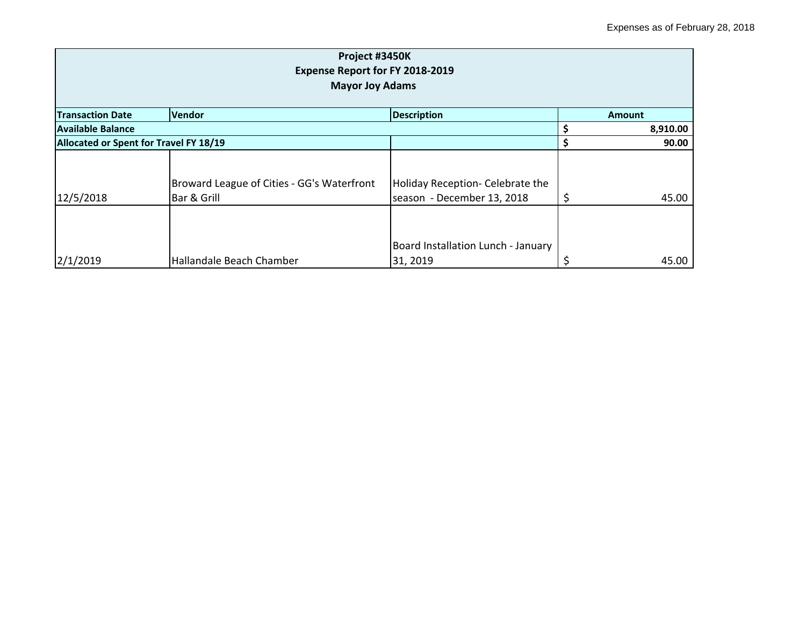| Project #3450K<br><b>Expense Report for FY 2018-2019</b><br><b>Mayor Joy Adams</b> |                                                           |                                                                |   |               |  |
|------------------------------------------------------------------------------------|-----------------------------------------------------------|----------------------------------------------------------------|---|---------------|--|
| <b>Transaction Date</b>                                                            | Vendor                                                    | <b>Description</b>                                             |   | <b>Amount</b> |  |
| <b>Available Balance</b>                                                           |                                                           |                                                                |   | 8,910.00      |  |
| Allocated or Spent for Travel FY 18/19                                             |                                                           |                                                                | S | 90.00         |  |
| 12/5/2018                                                                          | Broward League of Cities - GG's Waterfront<br>Bar & Grill | Holiday Reception- Celebrate the<br>season - December 13, 2018 |   | 45.00         |  |
| 2/1/2019                                                                           | Hallandale Beach Chamber                                  | Board Installation Lunch - January<br>31, 2019                 |   | 45.00         |  |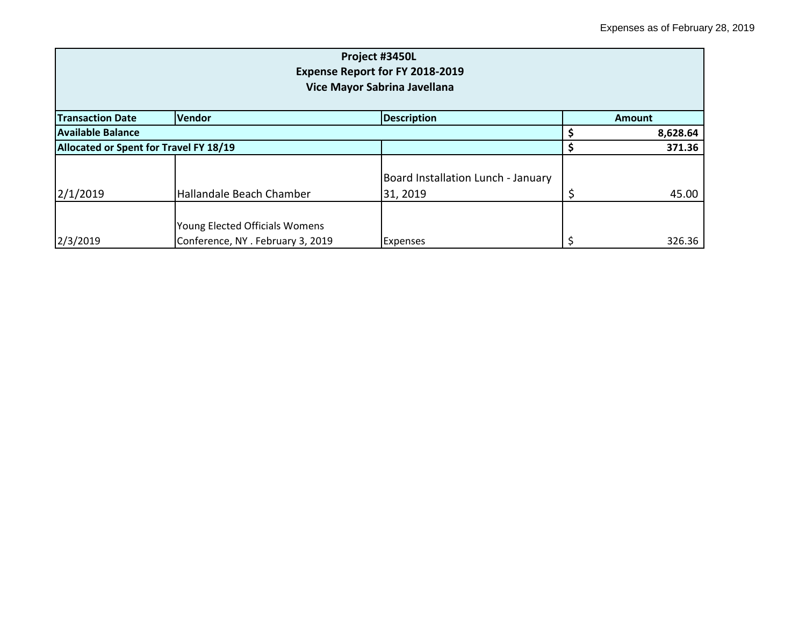| Project #3450L<br><b>Expense Report for FY 2018-2019</b><br>Vice Mayor Sabrina Javellana |                                                                     |                                    |  |               |  |  |
|------------------------------------------------------------------------------------------|---------------------------------------------------------------------|------------------------------------|--|---------------|--|--|
| <b>Transaction Date</b>                                                                  | Vendor                                                              | <b>Description</b>                 |  | <b>Amount</b> |  |  |
| <b>Available Balance</b>                                                                 |                                                                     |                                    |  | 8,628.64      |  |  |
| Allocated or Spent for Travel FY 18/19                                                   |                                                                     |                                    |  | 371.36        |  |  |
|                                                                                          |                                                                     | Board Installation Lunch - January |  |               |  |  |
| 2/1/2019                                                                                 | Hallandale Beach Chamber                                            | 31, 2019                           |  | 45.00         |  |  |
| 2/3/2019                                                                                 | Young Elected Officials Womens<br>Conference, NY . February 3, 2019 | <b>Expenses</b>                    |  | 326.36        |  |  |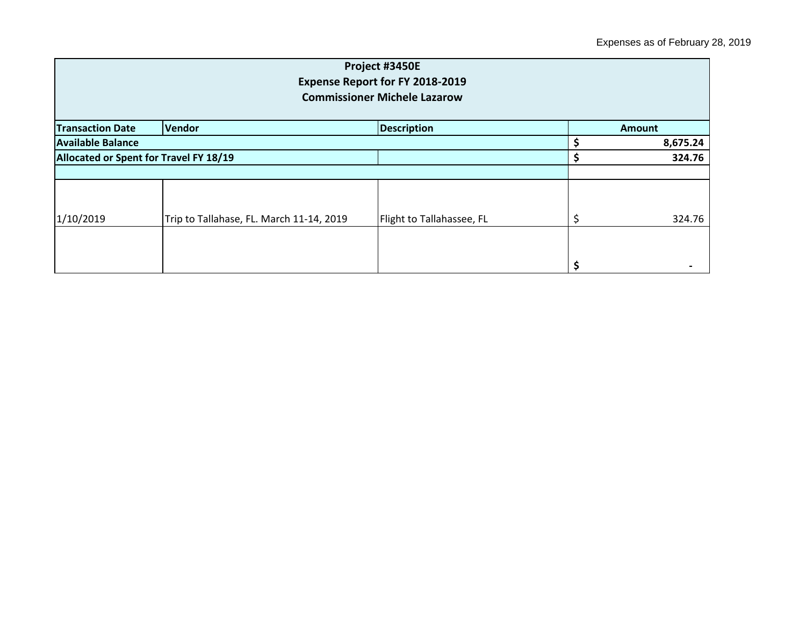| Project #3450E<br>Expense Report for FY 2018-2019<br><b>Commissioner Michele Lazarow</b> |                                          |                           |    |               |  |
|------------------------------------------------------------------------------------------|------------------------------------------|---------------------------|----|---------------|--|
| <b>Transaction Date</b>                                                                  | Vendor                                   | <b>Description</b>        |    | <b>Amount</b> |  |
| Available Balance                                                                        |                                          |                           |    | 8,675.24      |  |
| Allocated or Spent for Travel FY 18/19                                                   |                                          |                           |    | 324.76        |  |
|                                                                                          |                                          |                           |    |               |  |
| 1/10/2019                                                                                | Trip to Tallahase, FL. March 11-14, 2019 | Flight to Tallahassee, FL |    | 324.76        |  |
|                                                                                          |                                          |                           | \$ |               |  |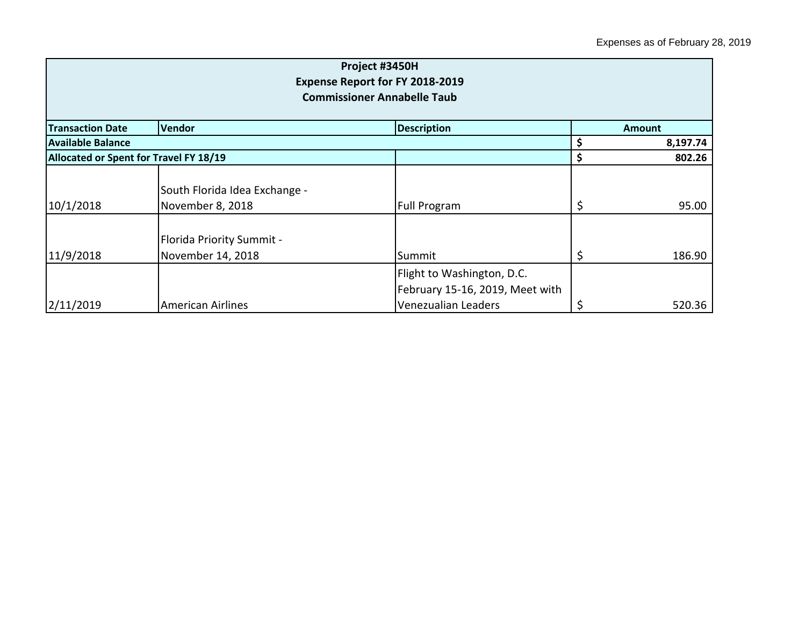| Project #3450H<br><b>Expense Report for FY 2018-2019</b><br><b>Commissioner Annabelle Taub</b> |                                                       |                                                                                      |               |          |  |
|------------------------------------------------------------------------------------------------|-------------------------------------------------------|--------------------------------------------------------------------------------------|---------------|----------|--|
| <b>Transaction Date</b>                                                                        | <b>Vendor</b>                                         | <b>Description</b>                                                                   | <b>Amount</b> |          |  |
| <b>Available Balance</b>                                                                       |                                                       |                                                                                      |               | 8,197.74 |  |
| Allocated or Spent for Travel FY 18/19                                                         |                                                       |                                                                                      |               | 802.26   |  |
| 10/1/2018                                                                                      | South Florida Idea Exchange -<br>November 8, 2018     | <b>Full Program</b>                                                                  | \$            | 95.00    |  |
| 11/9/2018                                                                                      | <b>Florida Priority Summit -</b><br>November 14, 2018 | Summit                                                                               | \$            | 186.90   |  |
| 2/11/2019                                                                                      | <b>American Airlines</b>                              | Flight to Washington, D.C.<br>February 15-16, 2019, Meet with<br>Venezualian Leaders | \$            | 520.36   |  |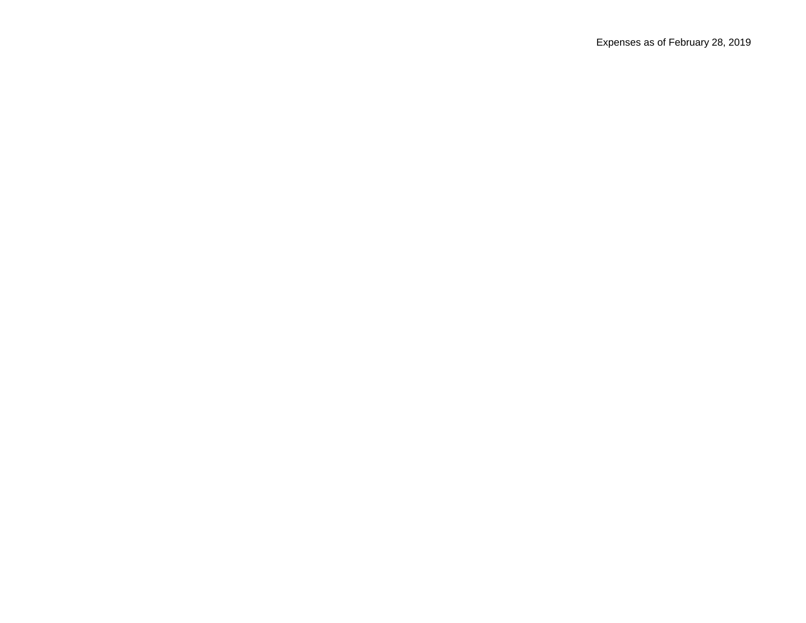Expenses as of February 28, 2019